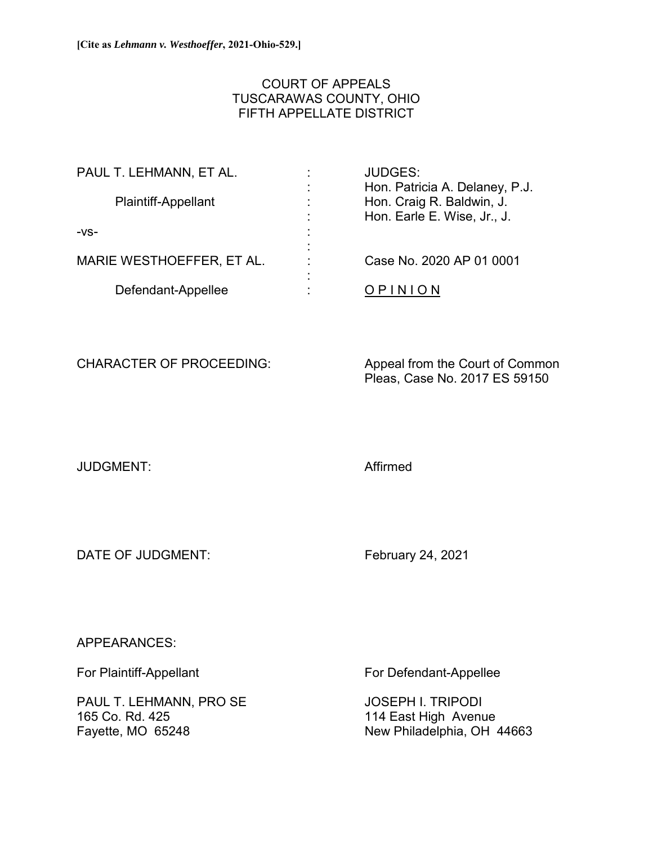# COURT OF APPEALS TUSCARAWAS COUNTY, OHIO FIFTH APPELLATE DISTRICT

| PAUL T. LEHMANN, ET AL.   | <b>JUDGES:</b>                 |
|---------------------------|--------------------------------|
|                           | Hon. Patricia A. Delaney, P.J. |
| Plaintiff-Appellant       | Hon. Craig R. Baldwin, J.      |
|                           | Hon. Earle E. Wise, Jr., J.    |
| $-VS-$                    |                                |
|                           |                                |
| MARIE WESTHOEFFER, ET AL. | Case No. 2020 AP 01 0001       |
|                           |                                |
| Defendant-Appellee        |                                |

CHARACTER OF PROCEEDING: Appeal from the Court of Common Pleas, Case No. 2017 ES 59150

JUDGMENT: Affirmed

DATE OF JUDGMENT: February 24, 2021

APPEARANCES:

PAUL T. LEHMANN, PRO SE JOSEPH I. TRIPODI 165 Co. Rd. 425 **165 Co. Rd. 425** 114 East High Avenue<br>Fayette, MO 65248 **114 East High Avenue** 

For Plaintiff-Appellant For Defendant-Appellee

New Philadelphia, OH 44663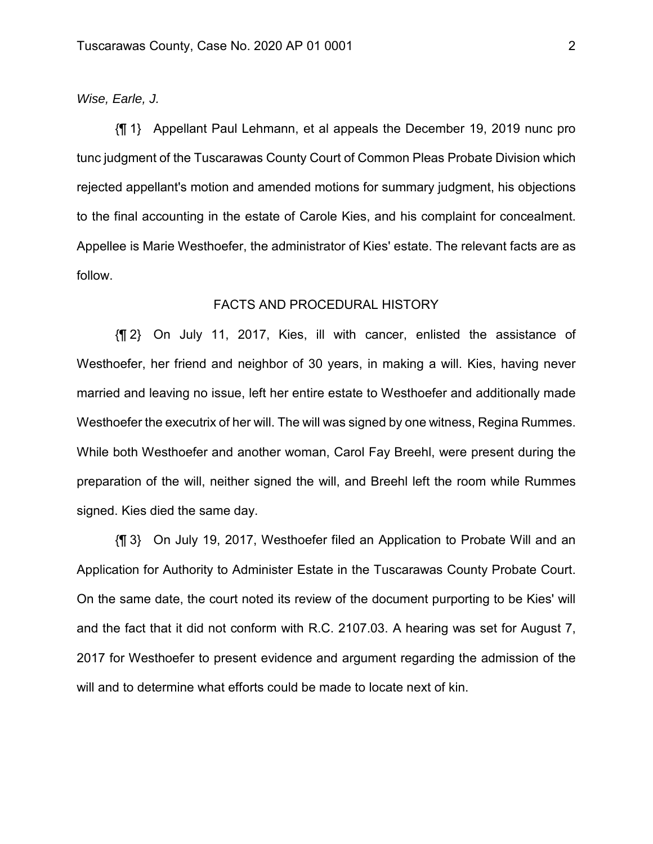## *Wise, Earle, J.*

{¶ 1} Appellant Paul Lehmann, et al appeals the December 19, 2019 nunc pro tunc judgment of the Tuscarawas County Court of Common Pleas Probate Division which rejected appellant's motion and amended motions for summary judgment, his objections to the final accounting in the estate of Carole Kies, and his complaint for concealment. Appellee is Marie Westhoefer, the administrator of Kies' estate. The relevant facts are as follow.

# FACTS AND PROCEDURAL HISTORY

{¶ 2} On July 11, 2017, Kies, ill with cancer, enlisted the assistance of Westhoefer, her friend and neighbor of 30 years, in making a will. Kies, having never married and leaving no issue, left her entire estate to Westhoefer and additionally made Westhoefer the executrix of her will. The will was signed by one witness, Regina Rummes. While both Westhoefer and another woman, Carol Fay Breehl, were present during the preparation of the will, neither signed the will, and Breehl left the room while Rummes signed. Kies died the same day.

{¶ 3} On July 19, 2017, Westhoefer filed an Application to Probate Will and an Application for Authority to Administer Estate in the Tuscarawas County Probate Court. On the same date, the court noted its review of the document purporting to be Kies' will and the fact that it did not conform with R.C. 2107.03. A hearing was set for August 7, 2017 for Westhoefer to present evidence and argument regarding the admission of the will and to determine what efforts could be made to locate next of kin.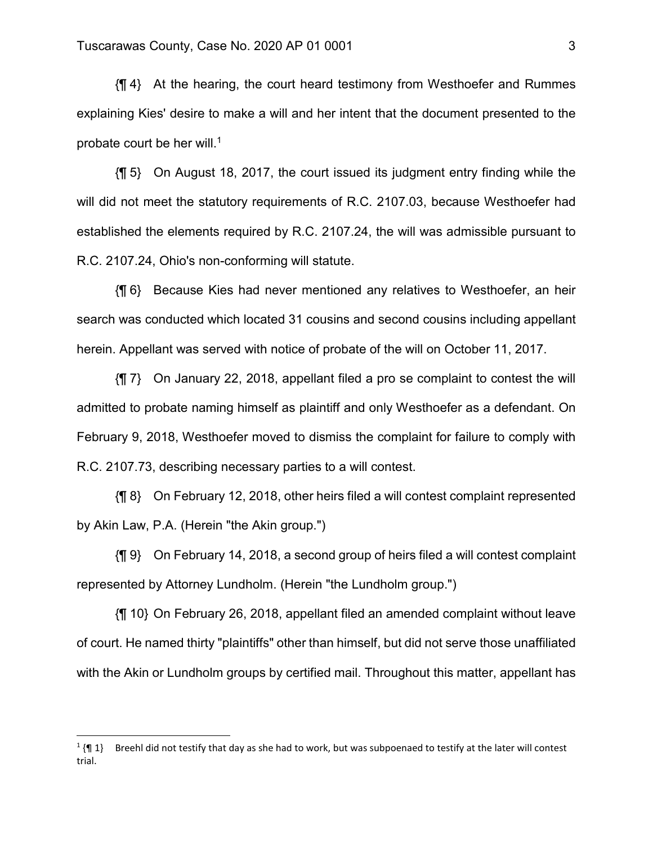{¶ 4} At the hearing, the court heard testimony from Westhoefer and Rummes explaining Kies' desire to make a will and her intent that the document presented to the probate court be her will.<sup>1</sup>

{¶ 5} On August 18, 2017, the court issued its judgment entry finding while the will did not meet the statutory requirements of R.C. 2107.03, because Westhoefer had established the elements required by R.C. 2107.24, the will was admissible pursuant to R.C. 2107.24, Ohio's non-conforming will statute.

{¶ 6} Because Kies had never mentioned any relatives to Westhoefer, an heir search was conducted which located 31 cousins and second cousins including appellant herein. Appellant was served with notice of probate of the will on October 11, 2017.

{¶ 7} On January 22, 2018, appellant filed a pro se complaint to contest the will admitted to probate naming himself as plaintiff and only Westhoefer as a defendant. On February 9, 2018, Westhoefer moved to dismiss the complaint for failure to comply with R.C. 2107.73, describing necessary parties to a will contest.

{¶ 8} On February 12, 2018, other heirs filed a will contest complaint represented by Akin Law, P.A. (Herein "the Akin group.")

{¶ 9} On February 14, 2018, a second group of heirs filed a will contest complaint represented by Attorney Lundholm. (Herein "the Lundholm group.")

{¶ 10} On February 26, 2018, appellant filed an amended complaint without leave of court. He named thirty "plaintiffs" other than himself, but did not serve those unaffiliated with the Akin or Lundholm groups by certified mail. Throughout this matter, appellant has

 $\overline{a}$ 

 $1$  {¶ 1} Breehl did not testify that day as she had to work, but was subpoenaed to testify at the later will contest trial.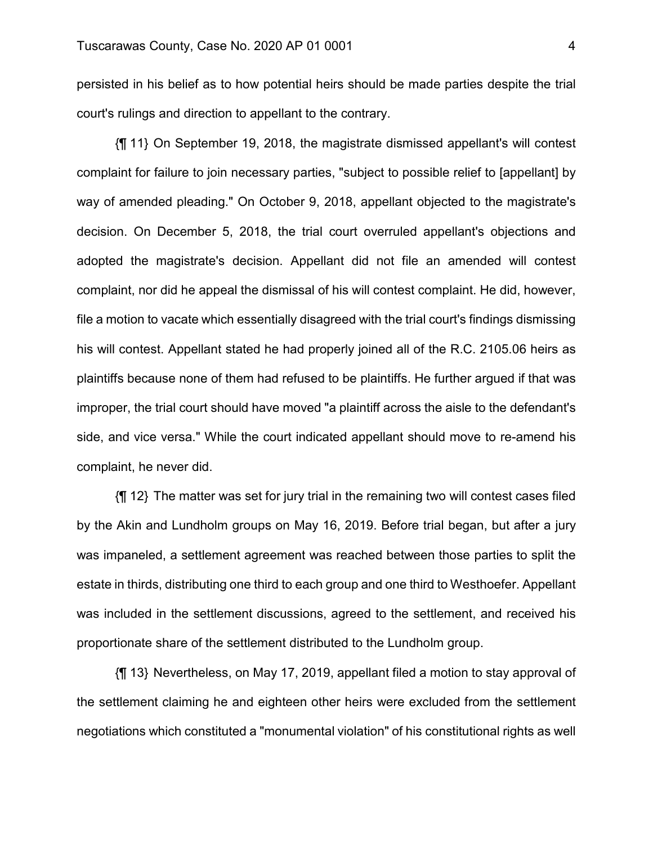persisted in his belief as to how potential heirs should be made parties despite the trial court's rulings and direction to appellant to the contrary.

{¶ 11} On September 19, 2018, the magistrate dismissed appellant's will contest complaint for failure to join necessary parties, "subject to possible relief to [appellant] by way of amended pleading." On October 9, 2018, appellant objected to the magistrate's decision. On December 5, 2018, the trial court overruled appellant's objections and adopted the magistrate's decision. Appellant did not file an amended will contest complaint, nor did he appeal the dismissal of his will contest complaint. He did, however, file a motion to vacate which essentially disagreed with the trial court's findings dismissing his will contest. Appellant stated he had properly joined all of the R.C. 2105.06 heirs as plaintiffs because none of them had refused to be plaintiffs. He further argued if that was improper, the trial court should have moved "a plaintiff across the aisle to the defendant's side, and vice versa." While the court indicated appellant should move to re-amend his complaint, he never did.

{¶ 12} The matter was set for jury trial in the remaining two will contest cases filed by the Akin and Lundholm groups on May 16, 2019. Before trial began, but after a jury was impaneled, a settlement agreement was reached between those parties to split the estate in thirds, distributing one third to each group and one third to Westhoefer. Appellant was included in the settlement discussions, agreed to the settlement, and received his proportionate share of the settlement distributed to the Lundholm group.

{¶ 13} Nevertheless, on May 17, 2019, appellant filed a motion to stay approval of the settlement claiming he and eighteen other heirs were excluded from the settlement negotiations which constituted a "monumental violation" of his constitutional rights as well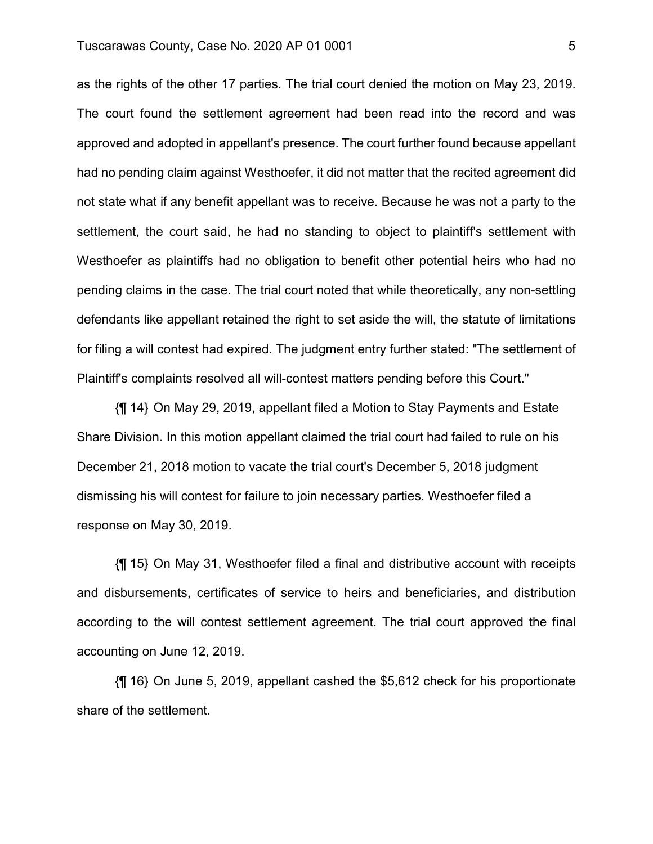#### Tuscarawas County, Case No. 2020 AP 01 0001

as the rights of the other 17 parties. The trial court denied the motion on May 23, 2019. The court found the settlement agreement had been read into the record and was approved and adopted in appellant's presence. The court further found because appellant had no pending claim against Westhoefer, it did not matter that the recited agreement did not state what if any benefit appellant was to receive. Because he was not a party to the settlement, the court said, he had no standing to object to plaintiff's settlement with Westhoefer as plaintiffs had no obligation to benefit other potential heirs who had no pending claims in the case. The trial court noted that while theoretically, any non-settling defendants like appellant retained the right to set aside the will, the statute of limitations for filing a will contest had expired. The judgment entry further stated: "The settlement of Plaintiff's complaints resolved all will-contest matters pending before this Court."

{¶ 14} On May 29, 2019, appellant filed a Motion to Stay Payments and Estate Share Division. In this motion appellant claimed the trial court had failed to rule on his December 21, 2018 motion to vacate the trial court's December 5, 2018 judgment dismissing his will contest for failure to join necessary parties. Westhoefer filed a response on May 30, 2019.

{¶ 15} On May 31, Westhoefer filed a final and distributive account with receipts and disbursements, certificates of service to heirs and beneficiaries, and distribution according to the will contest settlement agreement. The trial court approved the final accounting on June 12, 2019.

{¶ 16} On June 5, 2019, appellant cashed the \$5,612 check for his proportionate share of the settlement.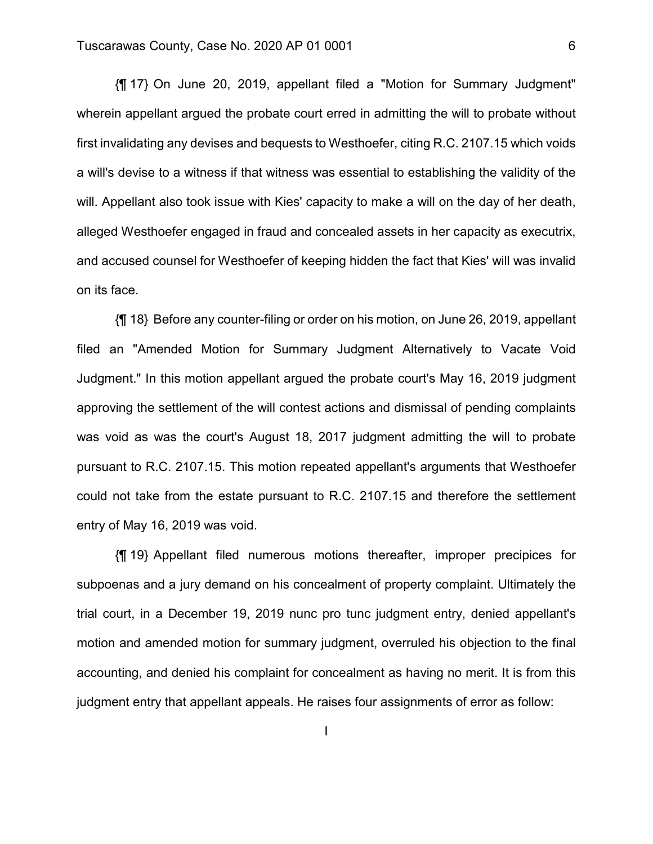{¶ 17} On June 20, 2019, appellant filed a "Motion for Summary Judgment" wherein appellant argued the probate court erred in admitting the will to probate without first invalidating any devises and bequests to Westhoefer, citing R.C. 2107.15 which voids a will's devise to a witness if that witness was essential to establishing the validity of the will. Appellant also took issue with Kies' capacity to make a will on the day of her death, alleged Westhoefer engaged in fraud and concealed assets in her capacity as executrix, and accused counsel for Westhoefer of keeping hidden the fact that Kies' will was invalid on its face.

{¶ 18} Before any counter-filing or order on his motion, on June 26, 2019, appellant filed an "Amended Motion for Summary Judgment Alternatively to Vacate Void Judgment." In this motion appellant argued the probate court's May 16, 2019 judgment approving the settlement of the will contest actions and dismissal of pending complaints was void as was the court's August 18, 2017 judgment admitting the will to probate pursuant to R.C. 2107.15. This motion repeated appellant's arguments that Westhoefer could not take from the estate pursuant to R.C. 2107.15 and therefore the settlement entry of May 16, 2019 was void.

{¶ 19} Appellant filed numerous motions thereafter, improper precipices for subpoenas and a jury demand on his concealment of property complaint. Ultimately the trial court, in a December 19, 2019 nunc pro tunc judgment entry, denied appellant's motion and amended motion for summary judgment, overruled his objection to the final accounting, and denied his complaint for concealment as having no merit. It is from this judgment entry that appellant appeals. He raises four assignments of error as follow:

I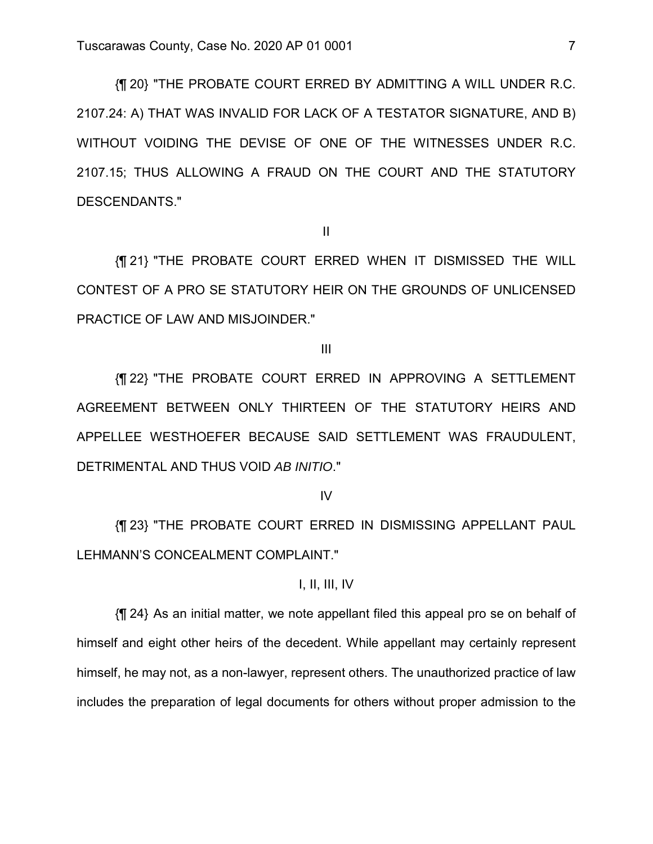{¶ 20} "THE PROBATE COURT ERRED BY ADMITTING A WILL UNDER R.C. 2107.24: A) THAT WAS INVALID FOR LACK OF A TESTATOR SIGNATURE, AND B) WITHOUT VOIDING THE DEVISE OF ONE OF THE WITNESSES UNDER R.C. 2107.15; THUS ALLOWING A FRAUD ON THE COURT AND THE STATUTORY DESCENDANTS."

II

{¶ 21} "THE PROBATE COURT ERRED WHEN IT DISMISSED THE WILL CONTEST OF A PRO SE STATUTORY HEIR ON THE GROUNDS OF UNLICENSED PRACTICE OF LAW AND MISJOINDER."

III

{¶ 22} "THE PROBATE COURT ERRED IN APPROVING A SETTLEMENT AGREEMENT BETWEEN ONLY THIRTEEN OF THE STATUTORY HEIRS AND APPELLEE WESTHOEFER BECAUSE SAID SETTLEMENT WAS FRAUDULENT, DETRIMENTAL AND THUS VOID *AB INITIO*."

IV

{¶ 23} "THE PROBATE COURT ERRED IN DISMISSING APPELLANT PAUL LEHMANN'S CONCEALMENT COMPLAINT."

## I, II, III, IV

{¶ 24} As an initial matter, we note appellant filed this appeal pro se on behalf of himself and eight other heirs of the decedent. While appellant may certainly represent himself, he may not, as a non-lawyer, represent others. The unauthorized practice of law includes the preparation of legal documents for others without proper admission to the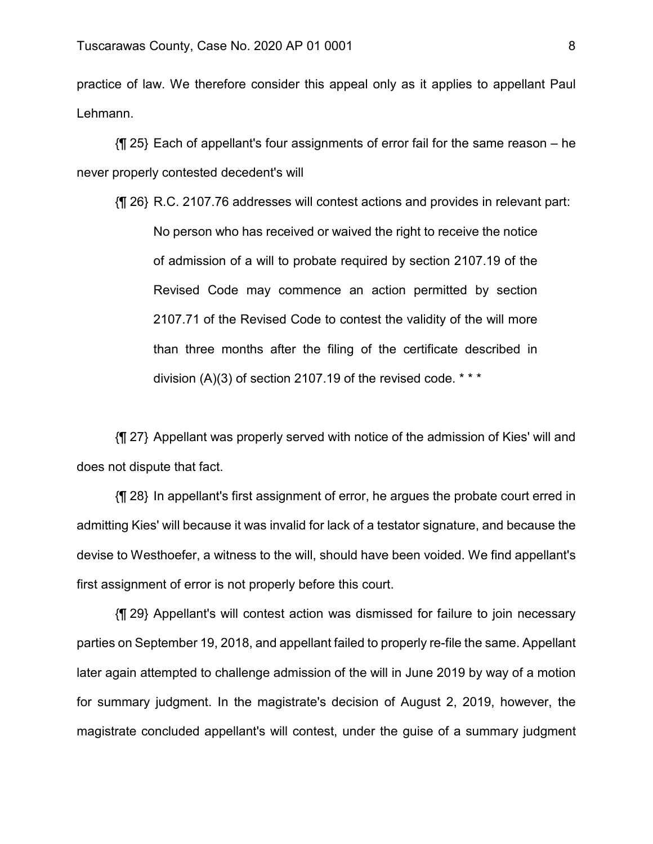practice of law. We therefore consider this appeal only as it applies to appellant Paul Lehmann.

{¶ 25} Each of appellant's four assignments of error fail for the same reason – he never properly contested decedent's will

{¶ 26} R.C. 2107.76 addresses will contest actions and provides in relevant part: No person who has received or waived the right to receive the notice of admission of a will to probate required by section 2107.19 of the Revised Code may commence an action permitted by section 2107.71 of the Revised Code to contest the validity of the will more than three months after the filing of the certificate described in division  $(A)(3)$  of section 2107.19 of the revised code. \* \* \*

{¶ 27} Appellant was properly served with notice of the admission of Kies' will and does not dispute that fact.

{¶ 28} In appellant's first assignment of error, he argues the probate court erred in admitting Kies' will because it was invalid for lack of a testator signature, and because the devise to Westhoefer, a witness to the will, should have been voided. We find appellant's first assignment of error is not properly before this court.

{¶ 29} Appellant's will contest action was dismissed for failure to join necessary parties on September 19, 2018, and appellant failed to properly re-file the same. Appellant later again attempted to challenge admission of the will in June 2019 by way of a motion for summary judgment. In the magistrate's decision of August 2, 2019, however, the magistrate concluded appellant's will contest, under the guise of a summary judgment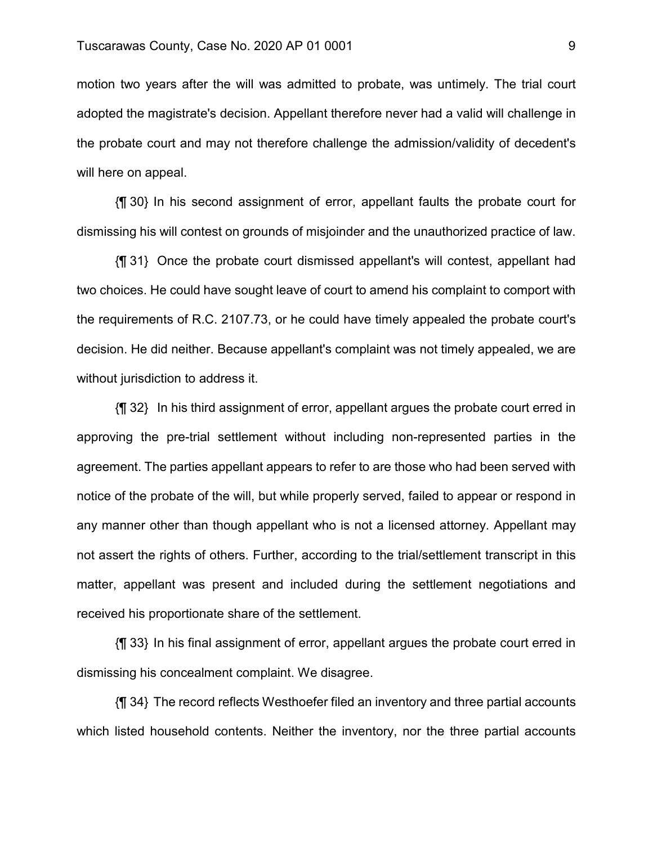motion two years after the will was admitted to probate, was untimely. The trial court adopted the magistrate's decision. Appellant therefore never had a valid will challenge in the probate court and may not therefore challenge the admission/validity of decedent's will here on appeal.

{¶ 30} In his second assignment of error, appellant faults the probate court for dismissing his will contest on grounds of misjoinder and the unauthorized practice of law.

{¶ 31} Once the probate court dismissed appellant's will contest, appellant had two choices. He could have sought leave of court to amend his complaint to comport with the requirements of R.C. 2107.73, or he could have timely appealed the probate court's decision. He did neither. Because appellant's complaint was not timely appealed, we are without jurisdiction to address it.

{¶ 32} In his third assignment of error, appellant argues the probate court erred in approving the pre-trial settlement without including non-represented parties in the agreement. The parties appellant appears to refer to are those who had been served with notice of the probate of the will, but while properly served, failed to appear or respond in any manner other than though appellant who is not a licensed attorney. Appellant may not assert the rights of others. Further, according to the trial/settlement transcript in this matter, appellant was present and included during the settlement negotiations and received his proportionate share of the settlement.

{¶ 33} In his final assignment of error, appellant argues the probate court erred in dismissing his concealment complaint. We disagree.

{¶ 34} The record reflects Westhoefer filed an inventory and three partial accounts which listed household contents. Neither the inventory, nor the three partial accounts